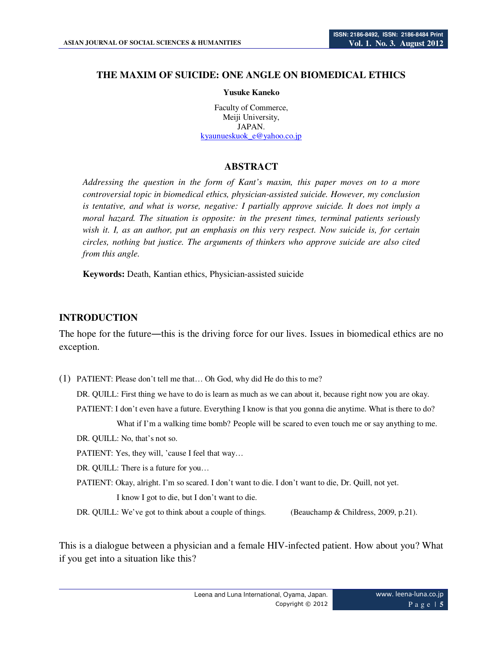## **THE MAXIM OF SUICIDE: ONE ANGLE ON BIOMEDICAL ETHICS**

#### **Yusuke Kaneko**

Faculty of Commerce, Meiji University, JAPAN. kyaunueskuok\_e@yahoo.co.jp

### **ABSTRACT**

*Addressing the question in the form of Kant's maxim, this paper moves on to a more controversial topic in biomedical ethics, physician-assisted suicide. However, my conclusion is tentative, and what is worse, negative: I partially approve suicide. It does not imply a moral hazard. The situation is opposite: in the present times, terminal patients seriously wish it. I, as an author, put an emphasis on this very respect. Now suicide is, for certain circles, nothing but justice. The arguments of thinkers who approve suicide are also cited from this angle.* 

**Keywords:** Death, Kantian ethics, Physician-assisted suicide

### **INTRODUCTION**

The hope for the future—this is the driving force for our lives. Issues in biomedical ethics are no exception.

(1) PATIENT: Please don't tell me that… Oh God, why did He do this to me?

DR. QUILL: First thing we have to do is learn as much as we can about it, because right now you are okay.

PATIENT: I don't even have a future. Everything I know is that you gonna die anytime. What is there to do?

What if I'm a walking time bomb? People will be scared to even touch me or say anything to me.

- DR. QUILL: No, that's not so.
- PATIENT: Yes, they will, 'cause I feel that way...

DR. QUILL: There is a future for you…

PATIENT: Okay, alright. I'm so scared. I don't want to die. I don't want to die, Dr. Quill, not yet.

I know I got to die, but I don't want to die.

DR. QUILL: We've got to think about a couple of things. (Beauchamp & Childress, 2009, p.21).

This is a dialogue between a physician and a female HIV-infected patient. How about you? What if you get into a situation like this?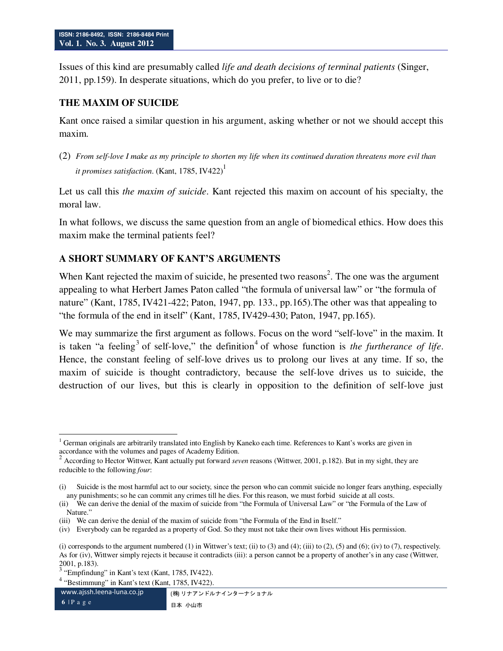Issues of this kind are presumably called *life and death decisions of terminal patients* (Singer, 2011, pp.159). In desperate situations, which do you prefer, to live or to die?

## **THE MAXIM OF SUICIDE**

Kant once raised a similar question in his argument, asking whether or not we should accept this maxim.

(2) *From self-love I make as my principle to shorten my life when its continued duration threatens more evil than it promises satisfaction.* (Kant, 1785, IV422)<sup>1</sup>

Let us call this *the maxim of suicide*. Kant rejected this maxim on account of his specialty, the moral law.

In what follows, we discuss the same question from an angle of biomedical ethics. How does this maxim make the terminal patients feel?

# **A SHORT SUMMARY OF KANT'S ARGUMENTS**

When Kant rejected the maxim of suicide, he presented two reasons<sup>2</sup>. The one was the argument appealing to what Herbert James Paton called "the formula of universal law" or "the formula of nature" (Kant, 1785, IV421-422; Paton, 1947, pp. 133., pp.165).The other was that appealing to "the formula of the end in itself" (Kant, 1785, IV429-430; Paton, 1947, pp.165).

We may summarize the first argument as follows. Focus on the word "self-love" in the maxim. It is taken "a feeling<sup>3</sup> of self-love," the definition<sup>4</sup> of whose function is *the furtherance of life*. Hence, the constant feeling of self-love drives us to prolong our lives at any time. If so, the maxim of suicide is thought contradictory, because the self-love drives us to suicide, the destruction of our lives, but this is clearly in opposition to the definition of self-love just

l

```
www.ajssh.leena-luna.co.jp
6 | P a g e 
                             (株) リナアンドルナインターナショナル
                             日本 小山市
```
 $1$  German originals are arbitrarily translated into English by Kaneko each time. References to Kant's works are given in accordance with the volumes and pages of Academy Edition.

<sup>2</sup> According to Hector Wittwer, Kant actually put forward *seven* reasons (Wittwer, 2001, p.182). But in my sight, they are reducible to the following *four*:

<sup>(</sup>i) Suicide is the most harmful act to our society, since the person who can commit suicide no longer fears anything, especially any punishments; so he can commit any crimes till he dies. For this reason, we must forbid suicide at all costs.

<sup>(</sup>ii) We can derive the denial of the maxim of suicide from "the Formula of Universal Law" or "the Formula of the Law of Nature."

<sup>(</sup>iii) We can derive the denial of the maxim of suicide from "the Formula of the End in Itself."

<sup>(</sup>iv) Everybody can be regarded as a property of God. So they must not take their own lives without His permission.

<sup>(</sup>i) corresponds to the argument numbered (1) in Wittwer's text; (ii) to (3) and (4); (iii) to (2), (5) and (6); (iv) to (7), respectively. As for (iv), Wittwer simply rejects it because it contradicts (iii): a person cannot be a property of another's in any case (Wittwer, 2001, p.183).

<sup>&</sup>lt;sup>3</sup> "Empfindung" in Kant's text (Kant, 1785, IV422).

<sup>4</sup> "Bestimmung" in Kant's text (Kant, 1785, IV422).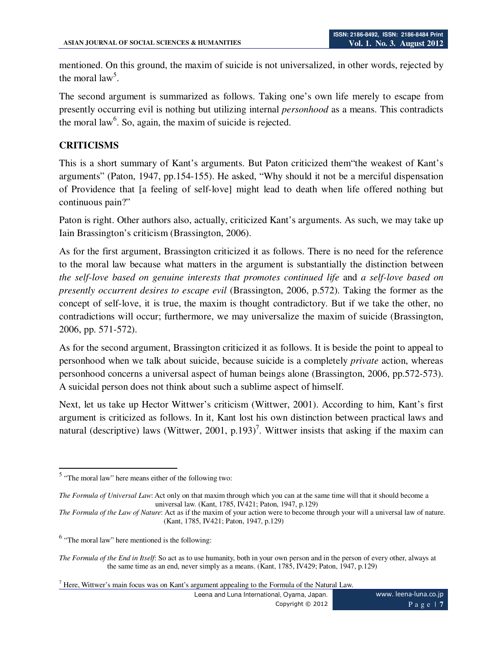mentioned. On this ground, the maxim of suicide is not universalized, in other words, rejected by the moral  $law<sup>5</sup>$ .

The second argument is summarized as follows. Taking one's own life merely to escape from presently occurring evil is nothing but utilizing internal *personhood* as a means. This contradicts the moral law<sup>6</sup>. So, again, the maxim of suicide is rejected.

# **CRITICISMS**

This is a short summary of Kant's arguments. But Paton criticized them"the weakest of Kant's arguments" (Paton, 1947, pp.154-155). He asked, "Why should it not be a merciful dispensation of Providence that [a feeling of self-love] might lead to death when life offered nothing but continuous pain?"

Paton is right. Other authors also, actually, criticized Kant's arguments. As such, we may take up Iain Brassington's criticism (Brassington, 2006).

As for the first argument, Brassington criticized it as follows. There is no need for the reference to the moral law because what matters in the argument is substantially the distinction between *the self-love based on genuine interests that promotes continued life* and *a self-love based on presently occurrent desires to escape evil* (Brassington, 2006, p.572). Taking the former as the concept of self-love, it is true, the maxim is thought contradictory. But if we take the other, no contradictions will occur; furthermore, we may universalize the maxim of suicide (Brassington, 2006, pp. 571-572).

As for the second argument, Brassington criticized it as follows. It is beside the point to appeal to personhood when we talk about suicide, because suicide is a completely *private* action, whereas personhood concerns a universal aspect of human beings alone (Brassington, 2006, pp.572-573). A suicidal person does not think about such a sublime aspect of himself.

Next, let us take up Hector Wittwer's criticism (Wittwer, 2001). According to him, Kant's first argument is criticized as follows. In it, Kant lost his own distinction between practical laws and natural (descriptive) laws (Wittwer, 2001, p.193)<sup>7</sup>. Wittwer insists that asking if the maxim can

 $\overline{a}$ 

 $<sup>5</sup>$  "The moral law" here means either of the following two:</sup>

*The Formula of Universal Law*: Act only on that maxim through which you can at the same time will that it should become a universal law. (Kant, 1785, IV421; Paton, 1947, p.129)

*The Formula of the Law of Nature*: Act as if the maxim of your action were to become through your will a universal law of nature. (Kant, 1785, IV421; Paton, 1947, p.129)

 $<sup>6</sup>$  "The moral law" here mentioned is the following:</sup>

*The Formula of the End in Itself*: So act as to use humanity, both in your own person and in the person of every other, always at the same time as an end, never simply as a means. (Kant, 1785, IV429; Paton, 1947, p.129)

 $<sup>7</sup>$  Here, Wittwer's main focus was on Kant's argument appealing to the Formula of the Natural Law.</sup>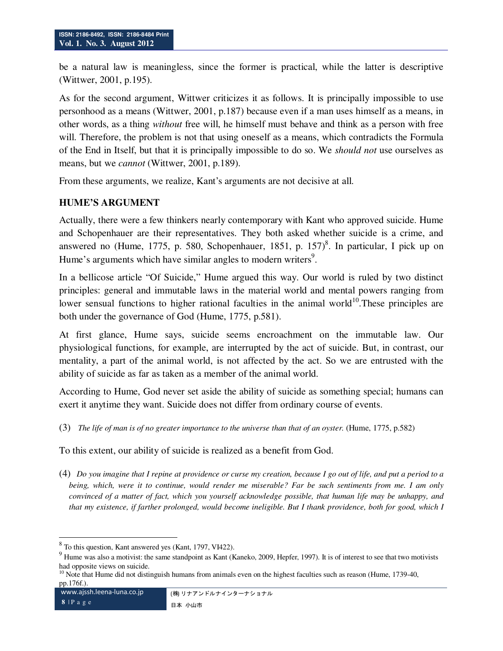be a natural law is meaningless, since the former is practical, while the latter is descriptive (Wittwer, 2001, p.195).

As for the second argument, Wittwer criticizes it as follows. It is principally impossible to use personhood as a means (Wittwer, 2001, p.187) because even if a man uses himself as a means, in other words, as a thing *without* free will, he himself must behave and think as a person with free will. Therefore, the problem is not that using oneself as a means, which contradicts the Formula of the End in Itself, but that it is principally impossible to do so. We *should not* use ourselves as means, but we *cannot* (Wittwer, 2001, p.189).

From these arguments, we realize, Kant's arguments are not decisive at all.

### **HUME'S ARGUMENT**

Actually, there were a few thinkers nearly contemporary with Kant who approved suicide. Hume and Schopenhauer are their representatives. They both asked whether suicide is a crime, and answered no (Hume, 1775, p. 580, Schopenhauer, 1851, p. 157)<sup>8</sup>. In particular, I pick up on Hume's arguments which have similar angles to modern writers<sup>9</sup>.

In a bellicose article "Of Suicide," Hume argued this way. Our world is ruled by two distinct principles: general and immutable laws in the material world and mental powers ranging from lower sensual functions to higher rational faculties in the animal world $10^0$ . These principles are both under the governance of God (Hume, 1775, p.581).

At first glance, Hume says, suicide seems encroachment on the immutable law. Our physiological functions, for example, are interrupted by the act of suicide. But, in contrast, our mentality, a part of the animal world, is not affected by the act. So we are entrusted with the ability of suicide as far as taken as a member of the animal world.

According to Hume, God never set aside the ability of suicide as something special; humans can exert it anytime they want. Suicide does not differ from ordinary course of events.

(3) *The life of man is of no greater importance to the universe than that of an oyster.* (Hume, 1775, p.582)

To this extent, our ability of suicide is realized as a benefit from God.

(4) *Do you imagine that I repine at providence or curse my creation, because I go out of life, and put a period to a being, which, were it to continue, would render me miserable? Far be such sentiments from me. I am only convinced of a matter of fact, which you yourself acknowledge possible, that human life may be unhappy, and that my existence, if farther prolonged, would become ineligible. But I thank providence, both for good, which I* 

 $\overline{a}$ 

 $8^8$  To this question, Kant answered yes (Kant, 1797, VI422).

 $9$  Hume was also a motivist: the same standpoint as Kant (Kaneko, 2009, Hepfer, 1997). It is of interest to see that two motivists had opposite views on suicide.

 $10$  Note that Hume did not distinguish humans from animals even on the highest faculties such as reason (Hume, 1739-40, pp.176f.).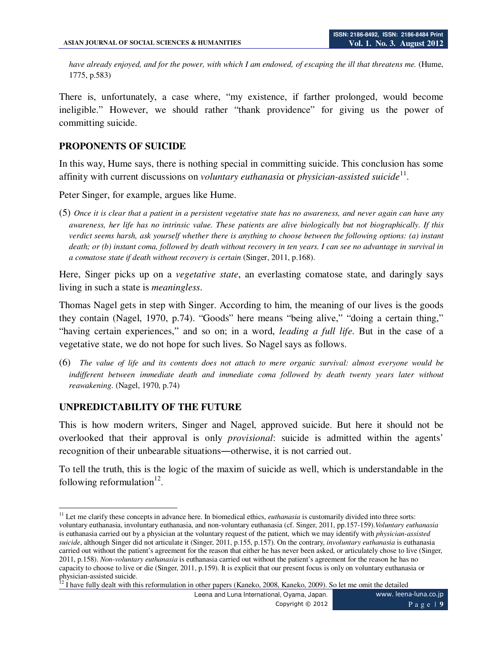*have already enjoyed, and for the power, with which I am endowed, of escaping the ill that threatens me.* (Hume, 1775, p.583)

There is, unfortunately, a case where, "my existence, if farther prolonged, would become ineligible." However, we should rather "thank providence" for giving us the power of committing suicide.

## **PROPONENTS OF SUICIDE**

In this way, Hume says, there is nothing special in committing suicide. This conclusion has some affinity with current discussions on *voluntary euthanasia* or *physician-assisted suicide*<sup>11</sup>.

Peter Singer, for example, argues like Hume.

(5) *Once it is clear that a patient in a persistent vegetative state has no awareness, and never again can have any awareness, her life has no intrinsic value. These patients are alive biologically but not biographically. If this verdict seems harsh, ask yourself whether there is anything to choose between the following options: (a) instant death; or (b) instant coma, followed by death without recovery in ten years. I can see no advantage in survival in a comatose state if death without recovery is certain* (Singer, 2011, p.168).

Here, Singer picks up on a *vegetative state*, an everlasting comatose state, and daringly says living in such a state is *meaningless*.

Thomas Nagel gets in step with Singer. According to him, the meaning of our lives is the goods they contain (Nagel, 1970, p.74). "Goods" here means "being alive," "doing a certain thing," "having certain experiences," and so on; in a word, *leading a full life*. But in the case of a vegetative state, we do not hope for such lives. So Nagel says as follows.

(6) *The value of life and its contents does not attach to mere organic survival: almost everyone would be indifferent between immediate death and immediate coma followed by death twenty years later without reawakening.* (Nagel, 1970, p.74)

# **UNPREDICTABILITY OF THE FUTURE**

 $\overline{a}$ 

This is how modern writers, Singer and Nagel, approved suicide. But here it should not be overlooked that their approval is only *provisional*: suicide is admitted within the agents' recognition of their unbearable situations―otherwise, it is not carried out.

To tell the truth, this is the logic of the maxim of suicide as well, which is understandable in the following reformulation $^{12}$ .

<sup>&</sup>lt;sup>11</sup> Let me clarify these concepts in advance here. In biomedical ethics, *euthanasia* is customarily divided into three sorts: voluntary euthanasia, involuntary euthanasia, and non-voluntary euthanasia (cf. Singer, 2011, pp.157-159).*Voluntary euthanasia* is euthanasia carried out by a physician at the voluntary request of the patient, which we may identify with *physician-assisted suicide*, although Singer did not articulate it (Singer, 2011, p.155, p.157). On the contrary, *involuntary euthanasia* is euthanasia carried out without the patient's agreement for the reason that either he has never been asked, or articulately chose to live (Singer, 2011, p.158). *Non-voluntary euthanasia* is euthanasia carried out without the patient's agreement for the reason he has no capacity to choose to live or die (Singer, 2011, p.159). It is explicit that our present focus is only on voluntary euthanasia or physician-assisted suicide.

 $12 \text{ I}$  have fully dealt with this reformulation in other papers (Kaneko, 2008, Kaneko, 2009). So let me omit the detailed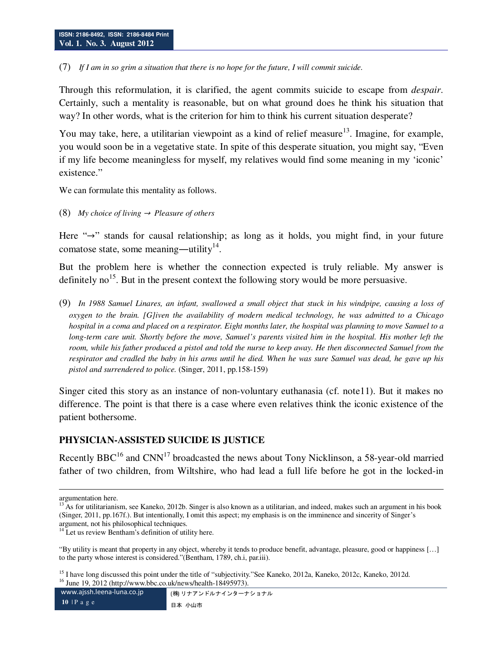(7) *If I am in so grim a situation that there is no hope for the future, I will commit suicide.*

Through this reformulation, it is clarified, the agent commits suicide to escape from *despair*. Certainly, such a mentality is reasonable, but on what ground does he think his situation that way? In other words, what is the criterion for him to think his current situation desperate?

You may take, here, a utilitarian viewpoint as a kind of relief measure<sup>13</sup>. Imagine, for example, you would soon be in a vegetative state. In spite of this desperate situation, you might say, "Even if my life become meaningless for myself, my relatives would find some meaning in my 'iconic' existence."

We can formulate this mentality as follows.

(8) *My choice of living*  $\rightarrow$  *Pleasure of others* 

Here "→" stands for causal relationship; as long as it holds, you might find, in your future comatose state, some meaning—utility $14$ .

But the problem here is whether the connection expected is truly reliable. My answer is definitely  $\pi$ <sup>15</sup>. But in the present context the following story would be more persuasive.

(9) *In 1988 Samuel Linares, an infant, swallowed a small object that stuck in his windpipe, causing a loss of oxygen to the brain. [G]iven the availability of modern medical technology, he was admitted to a Chicago hospital in a coma and placed on a respirator. Eight months later, the hospital was planning to move Samuel to a long-term care unit. Shortly before the move, Samuel's parents visited him in the hospital. His mother left the room, while his father produced a pistol and told the nurse to keep away. He then disconnected Samuel from the respirator and cradled the baby in his arms until he died. When he was sure Samuel was dead, he gave up his pistol and surrendered to police.* (Singer, 2011, pp.158-159)

Singer cited this story as an instance of non-voluntary euthanasia (cf. note11). But it makes no difference. The point is that there is a case where even relatives think the iconic existence of the patient bothersome.

### **PHYSICIAN-ASSISTED SUICIDE IS JUSTICE**

Recently BBC<sup>16</sup> and CNN<sup>17</sup> broadcasted the news about Tony Nicklinson, a 58-year-old married father of two children, from Wiltshire, who had lead a full life before he got in the locked-in

l

argumentation here.

 $13$  As for utilitarianism, see Kaneko, 2012b. Singer is also known as a utilitarian, and indeed, makes such an argument in his book (Singer, 2011, pp.167f.). But intentionally, I omit this aspect; my emphasis is on the imminence and sincerity of Singer's argument, not his philosophical techniques.

<sup>&</sup>lt;sup>14</sup> Let us review Bentham's definition of utility here.

<sup>&</sup>quot;By utility is meant that property in any object, whereby it tends to produce benefit, advantage, pleasure, good or happiness […] to the party whose interest is considered."(Bentham, 1789, ch.i, par.iii).

<sup>&</sup>lt;sup>15</sup> I have long discussed this point under the title of "subjectivity."See Kaneko, 2012a, Kaneko, 2012c, Kaneko, 2012d. <sup>16</sup> June 19, 2012 (http://www.bbc.co.uk/news/health-18495973).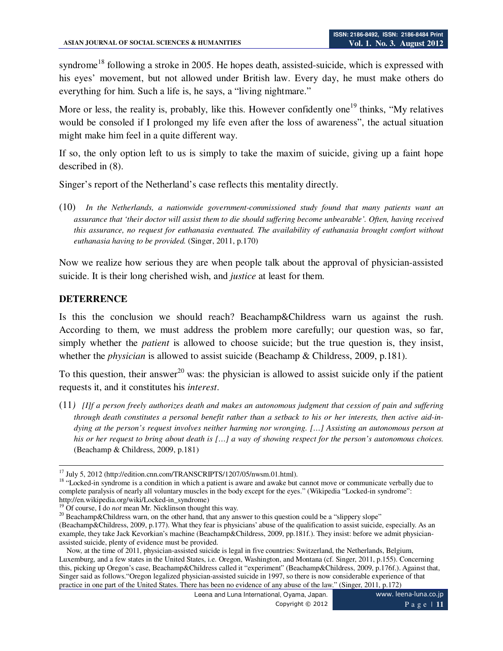syndrome<sup>18</sup> following a stroke in 2005. He hopes death, assisted-suicide, which is expressed with his eyes' movement, but not allowed under British law. Every day, he must make others do everything for him. Such a life is, he says, a "living nightmare."

More or less, the reality is, probably, like this. However confidently one<sup>19</sup> thinks, "My relatives" would be consoled if I prolonged my life even after the loss of awareness", the actual situation might make him feel in a quite different way.

If so, the only option left to us is simply to take the maxim of suicide, giving up a faint hope described in (8).

Singer's report of the Netherland's case reflects this mentality directly.

(10) *In the Netherlands, a nationwide government-commissioned study found that many patients want an assurance that 'their doctor will assist them to die should suffering become unbearable'. Often, having received this assurance, no request for euthanasia eventuated. The availability of euthanasia brought comfort without euthanasia having to be provided.* (Singer, 2011, p.170)

Now we realize how serious they are when people talk about the approval of physician-assisted suicide. It is their long cherished wish, and *justice* at least for them.

## **DETERRENCE**

 $\overline{a}$ 

Is this the conclusion we should reach? Beachamp&Childress warn us against the rush. According to them, we must address the problem more carefully; our question was, so far, simply whether the *patient* is allowed to choose suicide; but the true question is, they insist, whether the *physician* is allowed to assist suicide (Beachamp & Childress, 2009, p.181).

To this question, their answer<sup>20</sup> was: the physician is allowed to assist suicide only if the patient requests it, and it constitutes his *interest*.

(11*) [I]f a person freely authorizes death and makes an autonomous judgment that cession of pain and suffering through death constitutes a personal benefit rather than a setback to his or her interests, then active aid-indying at the person's request involves neither harming nor wronging. […] Assisting an autonomous person at his or her request to bring about death is […] a way of showing respect for the person's autonomous choices.* (Beachamp & Childress, 2009, p.181)

 $17$  July 5, 2012 (http://edition.cnn.com/TRANSCRIPTS/1207/05/nwsm.01.html).

<sup>&</sup>lt;sup>18</sup> "Locked-in syndrome is a condition in which a patient is aware and awake but cannot move or communicate verbally due to complete paralysis of nearly all voluntary muscles in the body except for the eyes." (Wikipedia "Locked-in syndrome": http://en.wikipedia.org/wiki/Locked-in\_syndrome)

<sup>19</sup> Of course, I do *not* mean Mr. Nicklinson thought this way.

<sup>&</sup>lt;sup>20</sup> Beachamp&Childress warn, on the other hand, that any answer to this question could be a "slippery slope"

<sup>(</sup>Beachamp&Childress, 2009, p.177). What they fear is physicians' abuse of the qualification to assist suicide, especially. As an example, they take Jack Kevorkian's machine (Beachamp&Childress, 2009, pp.181f.). They insist: before we admit physicianassisted suicide, plenty of evidence must be provided.

Now, at the time of 2011, physician-assisted suicide is legal in five countries: Switzerland, the Netherlands, Belgium, Luxemburg, and a few states in the United States, i.e. Oregon, Washington, and Montana (cf. Singer, 2011, p.155). Concerning this, picking up Oregon's case, Beachamp&Childress called it "experiment" (Beachamp&Childress, 2009, p.176f.). Against that, Singer said as follows."Oregon legalized physician-assisted suicide in 1997, so there is now considerable experience of that practice in one part of the United States. There has been no evidence of any abuse of the law." (Singer, 2011, p.172)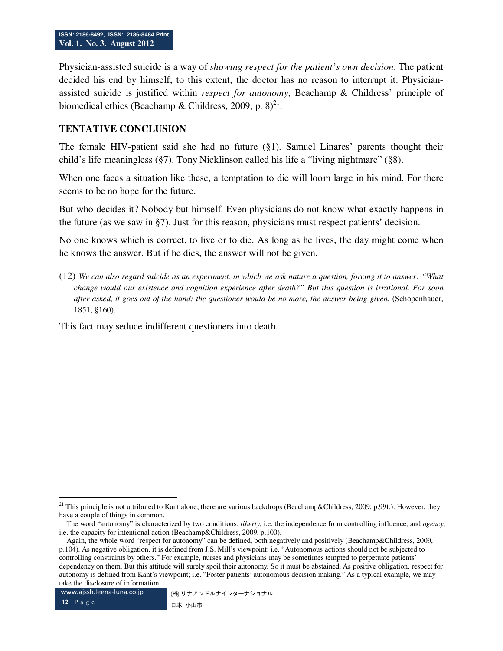Physician-assisted suicide is a way of *showing respect for the patient's own decision*. The patient decided his end by himself; to this extent, the doctor has no reason to interrupt it. Physicianassisted suicide is justified within *respect for autonomy*, Beachamp & Childress' principle of biomedical ethics (Beachamp & Childress, 2009, p.  $8)^{21}$ .

# **TENTATIVE CONCLUSION**

The female HIV-patient said she had no future (§1). Samuel Linares' parents thought their child's life meaningless (§7). Tony Nicklinson called his life a "living nightmare" (§8).

When one faces a situation like these, a temptation to die will loom large in his mind. For there seems to be no hope for the future.

But who decides it? Nobody but himself. Even physicians do not know what exactly happens in the future (as we saw in §7). Just for this reason, physicians must respect patients' decision.

No one knows which is correct, to live or to die. As long as he lives, the day might come when he knows the answer. But if he dies, the answer will not be given.

(12) *We can also regard suicide as an experiment, in which we ask nature a question, forcing it to answer: "What change would our existence and cognition experience after death?" But this question is irrational. For soon after asked, it goes out of the hand; the questioner would be no more, the answer being given*. (Schopenhauer, 1851, §160).

This fact may seduce indifferent questioners into death.

 $\overline{a}$ 

<sup>&</sup>lt;sup>21</sup> This principle is not attributed to Kant alone; there are various backdrops (Beachamp&Childress, 2009, p.99f.). However, they have a couple of things in common.

The word "autonomy" is characterized by two conditions: *liberty*, i.e. the independence from controlling influence, and *agency*, i.e. the capacity for intentional action (Beachamp&Childress, 2009, p.100).

Again, the whole word "respect for autonomy" can be defined, both negatively and positively (Beachamp&Childress, 2009, p.104). As negative obligation, it is defined from J.S. Mill's viewpoint; i.e. "Autonomous actions should not be subjected to controlling constraints by others." For example, nurses and physicians may be sometimes tempted to perpetuate patients' dependency on them. But this attitude will surely spoil their autonomy. So it must be abstained. As positive obligation, respect for autonomy is defined from Kant's viewpoint; i.e. "Foster patients' autonomous decision making." As a typical example, we may take the disclosure of information.